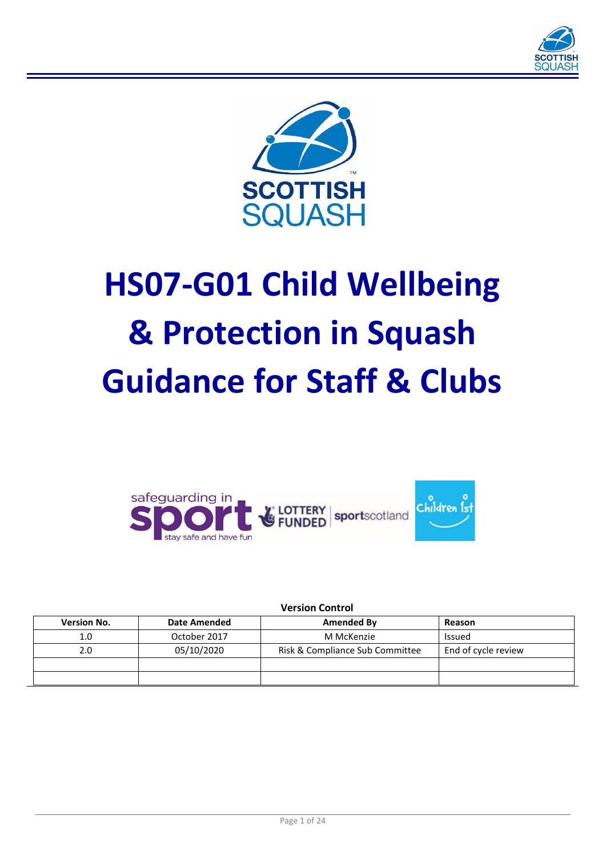



# **HS07-G01 Child Wellbeing & Protection in Squash Guidance for Staff & Clubs**



**Version Control**

| <b>Version No.</b> | <b>Date Amended</b> | Amended By                      | Reason              |
|--------------------|---------------------|---------------------------------|---------------------|
| 1.0                | October 2017        | M McKenzie                      | Issued              |
| 2.0                | 05/10/2020          | Risk & Compliance Sub Committee | End of cycle review |
|                    |                     |                                 |                     |
|                    |                     |                                 |                     |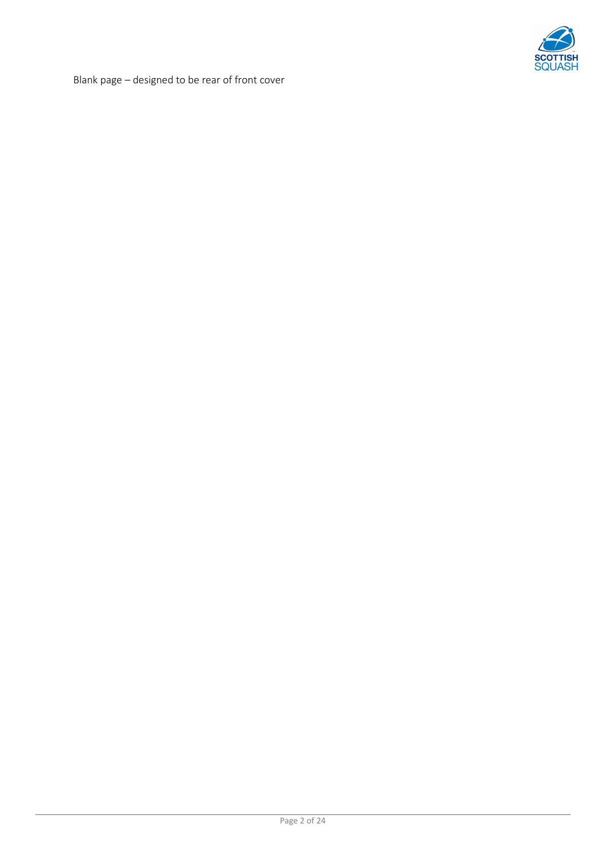

Blank page – designed to be rear of front cover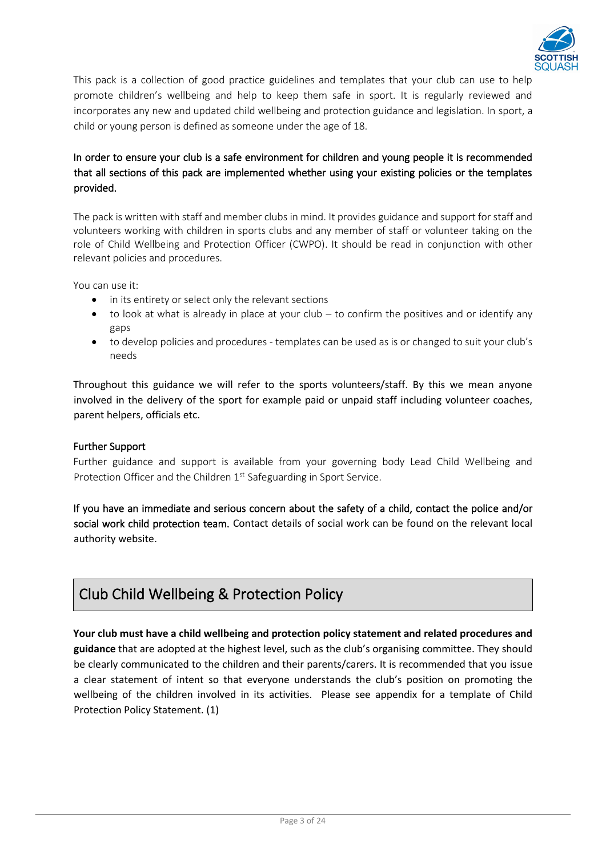

This packis a collection of good practice guidelines and templates that your club can use to help promote children's wellbeing and help to keep them safe in sport. It is regularly reviewed and incorporates any new and updated child wellbeing and protection guidance and legislation. In sport, a child or young person is defined as someone under the age of 18.

# In order to ensure your club is a safe environment for children and young people it is recommended that all sections of this pack are implemented whether using your existing policies or the templates provided.

The packis written with staff and member clubs in mind. It provides guidance and support for staff and volunteers working with children in sports clubs and any member of staff or volunteer taking on the role of Child Wellbeing and Protection Officer (CWPO). It should be read in conjunction with other relevant policies and procedures.

You can use it:

- in its entirety or select only the relevant sections
- $\bullet$  to look at what is already in place at your club to confirm the positives and or identify any gaps
- to develop policies and procedures templates can be used as is or changed to suit your club's needs

Throughout this guidance we will refer to the sports volunteers/staff. By this we mean anyone involved in the delivery of the sport for example paid or unpaid staff including volunteer coaches, parent helpers, officials etc.

# Further Support

Further guidance and support is available from your governing body Lead Child Wellbeing and Protection Officer and the Children 1<sup>st</sup> Safeguarding in Sport Service.

If you have an immediate and serious concern about the safety of a child, contact the police and/or social work child protection team. Contact details of social work can be found on the relevant local authority website.

# Club Child Wellbeing & Protection Policy

**Your club must have a child wellbeing and protection policy statement and related procedures and guidance** that are adopted at the highest level, such as the club's organising committee. They should be clearly communicated to the children and their parents/carers. It is recommended that you issue a clear statement of intent so that everyone understands the club's position on promoting the wellbeing of the children involved in its activities. Please see appendix for a template of Child Protection Policy Statement. (1)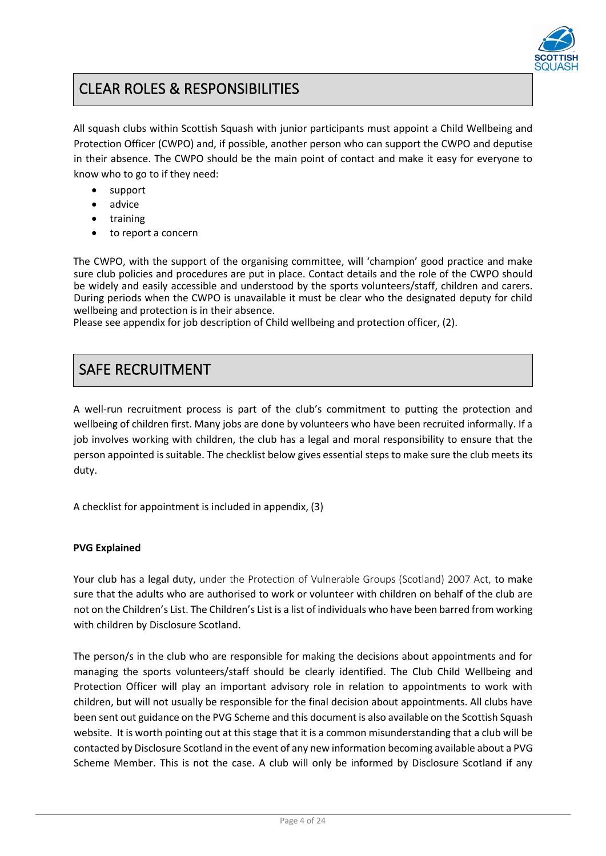

# CLEAR ROLES & RESPONSIBILITIES

All squash clubs within Scottish Squash with junior participants must appoint a Child Wellbeing and Protection Officer (CWPO) and, if possible, another person who can support the CWPO and deputise in their absence. The CWPO should be the main point of contact and make it easy for everyone to know who to go to if they need:

- support
- advice
- training
- to report a concern

The CWPO, with the support of the organising committee, will 'champion' good practice and make sure club policies and procedures are put in place. Contact details and the role of the CWPO should be widely and easily accessible and understood by the sports volunteers/staff, children and carers. During periods when the CWPO is unavailable it must be clear who the designated deputy for child wellbeing and protection is in their absence.

Please see appendix for job description of Child wellbeing and protection officer, (2).

# SAFE RECRUITMENT

A well-run recruitment process is part of the club's commitment to putting the protection and wellbeing of children first. Many jobs are done by volunteers who have been recruited informally. If a job involves working with children, the club has a legal and moral responsibility to ensure that the person appointed is suitable. The checklist below gives essential steps to make sure the club meets its duty.

A checklist for appointment is included in appendix, (3)

# **PVG Explained**

Your club has a legal duty, under the Protection of Vulnerable Groups (Scotland) 2007 Act, to make sure that the adults who are authorised to work or volunteer with children on behalf of the club are not on the Children's List. The Children's List is a list of individuals who have been barred from working with children by Disclosure Scotland.

The person/s in the club who are responsible for making the decisions about appointments and for managing the sports volunteers/staff should be clearly identified. The Club Child Wellbeing and Protection Officer will play an important advisory role in relation to appointments to work with children, but will not usually be responsible for the final decision about appointments. All clubs have been sent out guidance on the PVG Scheme and this document is also available on the Scottish Squash website. It is worth pointing out at this stage that it is a common misunderstanding that a club will be contacted by Disclosure Scotland in the event of any new information becoming available about a PVG Scheme Member. This is not the case. A club will only be informed by Disclosure Scotland if any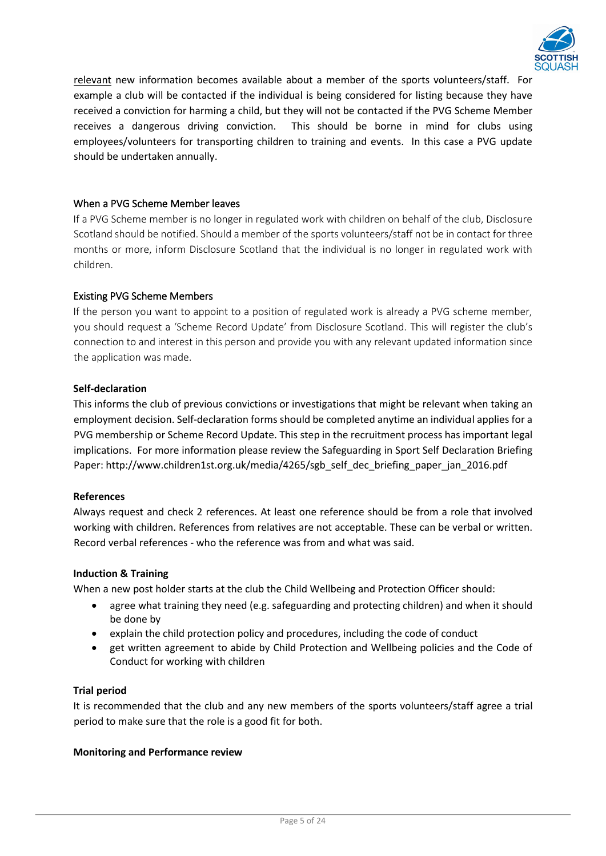

relevant new information becomes available about a member of the sports volunteers/staff. For example a club will be contacted if the individual is being considered for listing because they have received a conviction for harming a child, but they will not be contacted if the PVG Scheme Member receives a dangerous driving conviction. This should be borne in mind for clubs using employees/volunteers for transporting children to training and events. In this case a PVG update should be undertaken annually.

# When a PVG Scheme Member leaves

If a PVG Scheme member is no longer in regulated work with children on behalf of the club, Disclosure Scotland should be notified. Should a member of the sports volunteers/staff not be in contact for three months or more, inform Disclosure Scotland that the individual is no longer in regulated work with children.

# Existing PVG Scheme Members

If the person you want to appoint to a position of regulated work is already a PVG scheme member, you should request a 'Scheme Record Update' from Disclosure Scotland. This will register the club's connection to and interest in this person and provide you with any relevant updated information since the application was made.

# **Self-declaration**

This informs the club of previous convictions or investigations that might be relevant when taking an employment decision. Self-declaration forms should be completed anytime an individual applies for a PVG membership or Scheme Record Update. This step in the recruitment process has important legal implications. For more information please review the Safeguarding in Sport Self Declaration Briefing Paper: http://www.children1st.org.uk/media/4265/sgb\_self\_dec\_briefing\_paper\_jan\_2016.pdf

# **References**

Always request and check 2 references. At least one reference should be from a role that involved working with children. References from relatives are not acceptable. These can be verbal or written. Record verbal references - who the reference was from and what was said.

### **Induction & Training**

When a new post holder starts at the club the Child Wellbeing and Protection Officer should:

- agree what training they need (e.g. safeguarding and protecting children) and when it should be done by
- explain the child protection policy and procedures, including the code of conduct
- get written agreement to abide by Child Protection and Wellbeing policies and the Code of Conduct for working with children

#### **Trial period**

It is recommended that the club and any new members of the sports volunteers/staff agree a trial period to make sure that the role is a good fit for both.

#### **Monitoring and Performance review**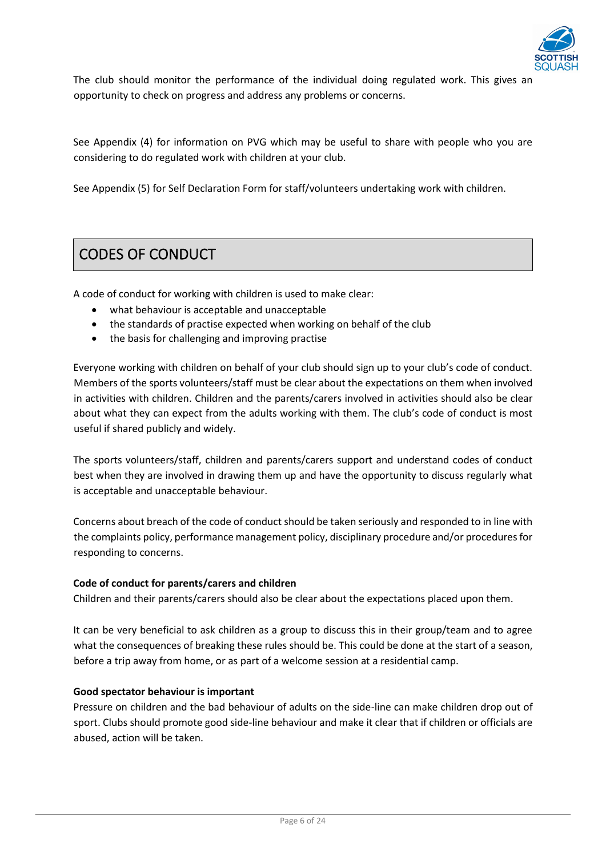

The club should monitor the performance of the individual doing regulated work. This gives an opportunity to check on progress and address any problems or concerns.

See Appendix (4) for information on PVG which may be useful to share with people who you are considering to do regulated work with children at your club.

See Appendix (5) for Self Declaration Form for staff/volunteers undertaking work with children.

# CODES OF CONDUCT

A code of conduct for working with children is used to make clear:

- what behaviour is acceptable and unacceptable
- the standards of practise expected when working on behalf of the club
- the basis for challenging and improving practise

Everyone working with children on behalf of your club should sign up to your club's code of conduct. Members of the sports volunteers/staff must be clear about the expectations on them when involved in activities with children. Children and the parents/carers involved in activities should also be clear about what they can expect from the adults working with them. The club's code of conduct is most useful if shared publicly and widely.

The sports volunteers/staff, children and parents/carers support and understand codes of conduct best when they are involved in drawing them up and have the opportunity to discuss regularly what is acceptable and unacceptable behaviour.

Concerns about breach of the code of conduct should be taken seriously and responded to in line with the complaints policy, performance management policy, disciplinary procedure and/or procedures for responding to concerns.

#### **Code of conduct for parents/carers and children**

Children and their parents/carers should also be clear about the expectations placed upon them.

It can be very beneficial to ask children as a group to discuss this in their group/team and to agree what the consequences of breaking these rules should be. This could be done at the start of a season, before a trip away from home, or as part of a welcome session at a residential camp.

#### **Good spectator behaviour is important**

Pressure on children and the bad behaviour of adults on the side-line can make children drop out of sport. Clubs should promote good side-line behaviour and make it clear that if children or officials are abused, action will be taken.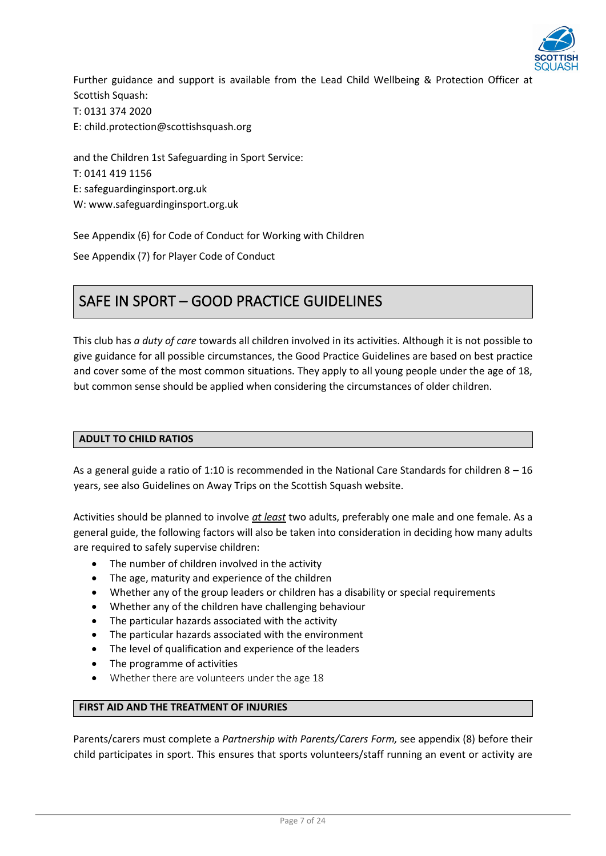

Further guidance and support is available from the Lead Child Wellbeing & Protection Officer at Scottish Squash: T: 0131 374 2020 E: child.protection@scottishsquash.org

and the Children 1st Safeguarding in Sport Service: T: 0141 419 1156 E: safeguardinginsport.org.uk W: www.safeguardinginsport.org.uk

See Appendix (6) for Code of Conduct for Working with Children

See Appendix (7) for Player Code of Conduct

# SAFE IN SPORT – GOOD PRACTICE GUIDELINES

This club has *a duty of care* towards all children involved in its activities. Although it is not possible to give guidance for all possible circumstances, the Good Practice Guidelines are based on best practice and cover some of the most common situations. They apply to all young people under the age of 18, but common sense should be applied when considering the circumstances of older children.

# **ADULT TO CHILD RATIOS**

As a general guide a ratio of 1:10 is recommended in the National Care Standards for children 8 – 16 years, see also Guidelines on Away Trips on the Scottish Squash website.

Activities should be planned to involve *at least* two adults, preferably one male and one female. As a general guide, the following factors will also be taken into consideration in deciding how many adults are required to safely supervise children:

- The number of children involved in the activity
- The age, maturity and experience of the children
- Whether any of the group leaders or children has a disability or special requirements
- Whether any of the children have challenging behaviour
- The particular hazards associated with the activity
- The particular hazards associated with the environment
- The level of qualification and experience of the leaders
- The programme of activities
- Whether there are volunteers under the age 18

# **FIRST AID AND THE TREATMENT OF INJURIES**

Parents/carers must complete a *Partnership with Parents/Carers Form,* see appendix (8) before their child participates in sport. This ensures that sports volunteers/staff running an event or activity are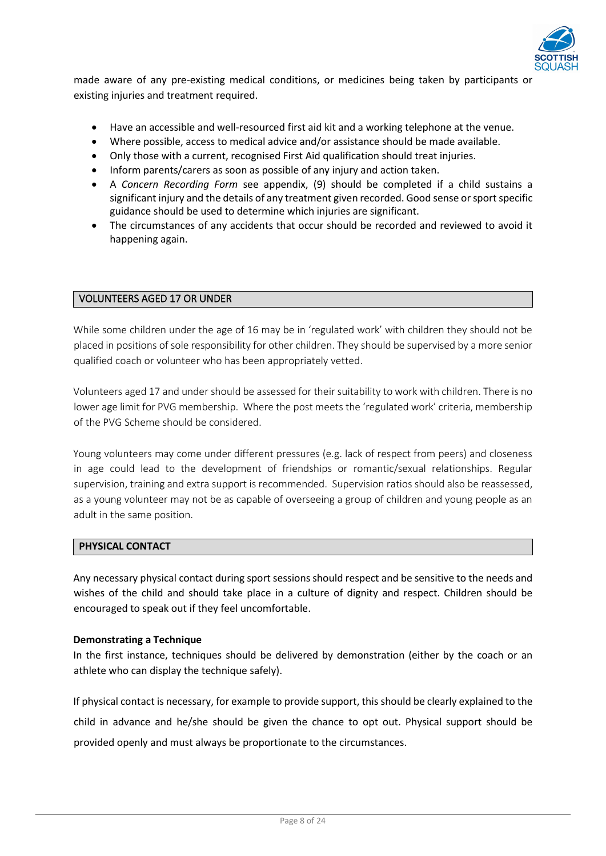

made aware of any pre-existing medical conditions, or medicines being taken by participants or existing injuries and treatment required.

- Have an accessible and well-resourced first aid kit and a working telephone at the venue.
- Where possible, access to medical advice and/or assistance should be made available.
- Only those with a current, recognised First Aid qualification should treat injuries.
- Inform parents/carers as soon as possible of any injury and action taken.
- A *Concern Recording Form* see appendix, (9) should be completed if a child sustains a significant injury and the details of any treatment given recorded. Good sense or sport specific guidance should be used to determine which injuries are significant.
- The circumstances of any accidents that occur should be recorded and reviewed to avoid it happening again.

# VOLUNTEERS AGED 17 OR UNDER

While some children under the age of 16 may be in 'regulated work' with children they should not be placed in positions of sole responsibility for other children. They should be supervised by a more senior qualified coach or volunteer who has been appropriately vetted.

Volunteers aged 17 and under should be assessed for their suitability to work with children. There is no lower age limit for PVG membership. Where the post meets the 'regulated work' criteria, membership of the PVG Scheme should be considered.

Young volunteers may come under different pressures (e.g. lack of respect from peers) and closeness in age could lead to the development of friendships or romantic/sexual relationships. Regular supervision, training and extra support is recommended. Supervision ratios should also be reassessed, as a young volunteer may not be as capable of overseeing a group of children and young people as an adult in the same position.

#### **PHYSICAL CONTACT**

Any necessary physical contact during sport sessions should respect and be sensitive to the needs and wishes of the child and should take place in a culture of dignity and respect. Children should be encouraged to speak out if they feel uncomfortable.

#### **Demonstrating a Technique**

In the first instance, techniques should be delivered by demonstration (either by the coach or an athlete who can display the technique safely).

If physical contact is necessary, for example to provide support, this should be clearly explained to the child in advance and he/she should be given the chance to opt out. Physical support should be provided openly and must always be proportionate to the circumstances.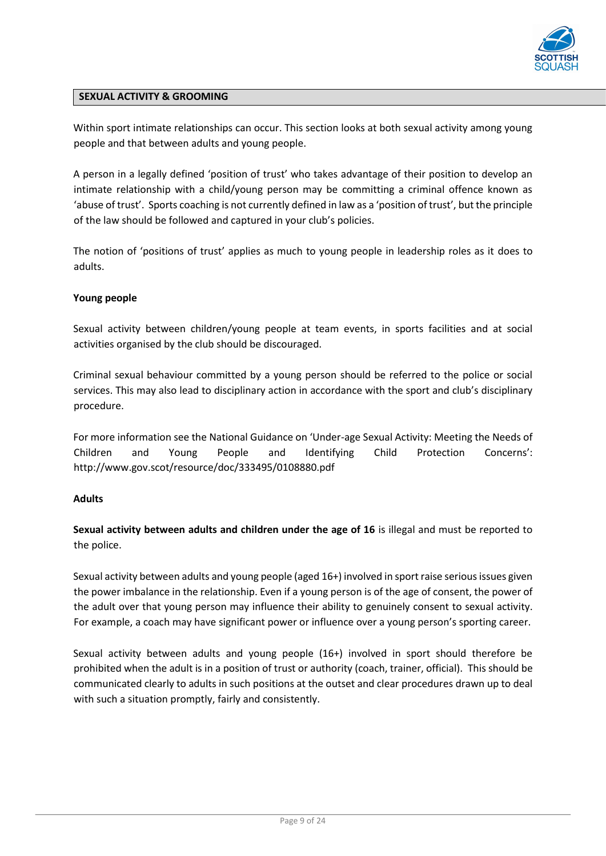

# **SEXUAL ACTIVITY & GROOMING**

Within sport intimate relationships can occur. This section looks at both sexual activity among young people and that between adults and young people.

A person in a legally defined 'position of trust' who takes advantage of their position to develop an intimate relationship with a child/young person may be committing a criminal offence known as 'abuse of trust'. Sports coaching is not currently defined in law as a 'position of trust', but the principle of the law should be followed and captured in your club's policies.

The notion of 'positions of trust' applies as much to young people in leadership roles as it does to adults.

# **Young people**

Sexual activity between children/young people at team events, in sports facilities and at social activities organised by the club should be discouraged.

Criminal sexual behaviour committed by a young person should be referred to the police or social services. This may also lead to disciplinary action in accordance with the sport and club's disciplinary procedure.

For more information see the National Guidance on 'Under-age Sexual Activity: Meeting the Needs of Children and Young People and Identifying Child Protection Concerns': http://www.gov.scot/resource/doc/333495/0108880.pdf

#### **Adults**

**Sexual activity between adults and children under the age of 16** is illegal and must be reported to the police.

Sexual activity between adults and young people (aged 16+) involved in sport raise serious issues given the power imbalance in the relationship. Even if a young person is of the age of consent, the power of the adult over that young person may influence their ability to genuinely consent to sexual activity. For example, a coach may have significant power or influence over a young person's sporting career.

Sexual activity between adults and young people (16+) involved in sport should therefore be prohibited when the adult is in a position of trust or authority (coach, trainer, official). This should be communicated clearly to adults in such positions at the outset and clear procedures drawn up to deal with such a situation promptly, fairly and consistently.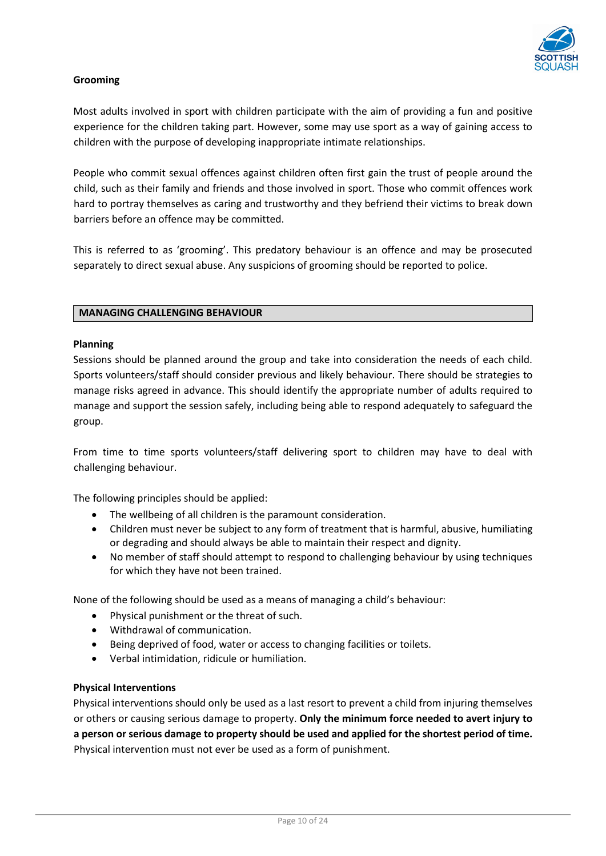

# **Grooming**

Most adults involved in sport with children participate with the aim of providing a fun and positive experience for the children taking part. However, some may use sport as a way of gaining access to children with the purpose of developing inappropriate intimate relationships.

People who commit sexual offences against children often first gain the trust of people around the child, such as their family and friends and those involved in sport. Those who commit offences work hard to portray themselves as caring and trustworthy and they befriend their victims to break down barriers before an offence may be committed.

This is referred to as 'grooming'. This predatory behaviour is an offence and may be prosecuted separately to direct sexual abuse. Any suspicions of grooming should be reported to police.

#### **MANAGING CHALLENGING BEHAVIOUR**

#### **Planning**

Sessions should be planned around the group and take into consideration the needs of each child. Sports volunteers/staff should consider previous and likely behaviour. There should be strategies to manage risks agreed in advance. This should identify the appropriate number of adults required to manage and support the session safely, including being able to respond adequately to safeguard the group.

From time to time sports volunteers/staff delivering sport to children may have to deal with challenging behaviour.

The following principles should be applied:

- The wellbeing of all children is the paramount consideration.
- Children must never be subject to any form of treatment that is harmful, abusive, humiliating or degrading and should always be able to maintain their respect and dignity.
- No member of staff should attempt to respond to challenging behaviour by using techniques for which they have not been trained.

None of the following should be used as a means of managing a child's behaviour:

- Physical punishment or the threat of such.
- Withdrawal of communication.
- Being deprived of food, water or access to changing facilities or toilets.
- Verbal intimidation, ridicule or humiliation.

#### **Physical Interventions**

Physical interventions should only be used as a last resort to prevent a child from injuring themselves or others or causing serious damage to property. **Only the minimum force needed to avert injury to a person or serious damage to property should be used and applied for the shortest period of time.** Physical intervention must not ever be used as a form of punishment.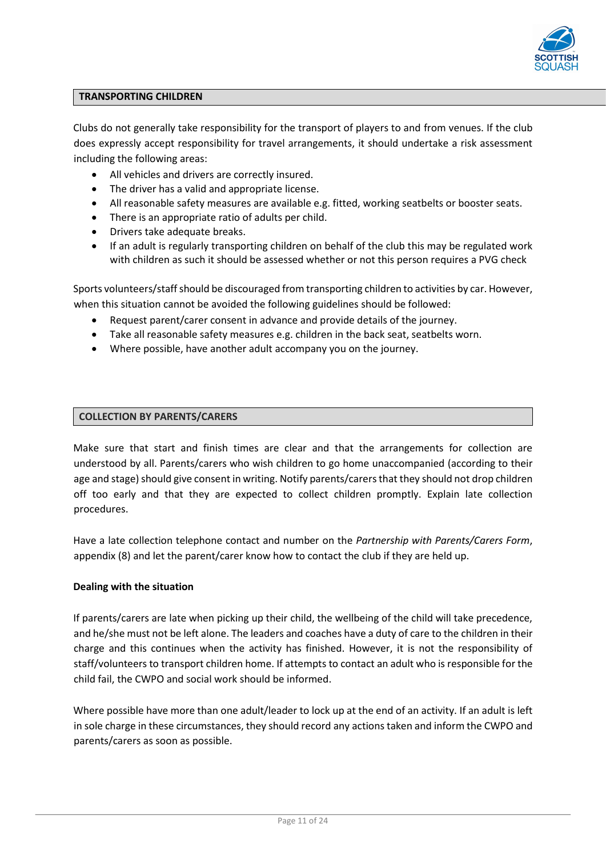

#### **TRANSPORTING CHILDREN**

Clubs do not generally take responsibility for the transport of players to and from venues. If the club does expressly accept responsibility for travel arrangements, it should undertake a risk assessment including the following areas:

- All vehicles and drivers are correctly insured.
- The driver has a valid and appropriate license.
- All reasonable safety measures are available e.g. fitted, working seatbelts or booster seats.
- There is an appropriate ratio of adults per child.
- Drivers take adequate breaks.
- If an adult is regularly transporting children on behalf of the club this may be regulated work with children as such it should be assessed whether or not this person requires a PVG check

Sports volunteers/staff should be discouraged from transporting children to activities by car. However, when this situation cannot be avoided the following guidelines should be followed:

- Request parent/carer consent in advance and provide details of the journey.
- Take all reasonable safety measures e.g. children in the back seat, seatbelts worn.
- Where possible, have another adult accompany you on the journey.

# **COLLECTION BY PARENTS/CARERS**

Make sure that start and finish times are clear and that the arrangements for collection are understood by all. Parents/carers who wish children to go home unaccompanied (according to their age and stage) should give consent in writing. Notify parents/carers that they should not drop children off too early and that they are expected to collect children promptly. Explain late collection procedures.

Have a late collection telephone contact and number on the *Partnership with Parents/Carers Form*, appendix (8) and let the parent/carer know how to contact the club if they are held up.

#### **Dealing with the situation**

If parents/carers are late when picking up their child, the wellbeing of the child will take precedence, and he/she must not be left alone. The leaders and coaches have a duty of care to the children in their charge and this continues when the activity has finished. However, it is not the responsibility of staff/volunteers to transport children home. If attempts to contact an adult who is responsible for the child fail, the CWPO and social work should be informed.

Where possible have more than one adult/leader to lock up at the end of an activity. If an adult is left in sole charge in these circumstances, they should record any actions taken and inform the CWPO and parents/carers as soon as possible.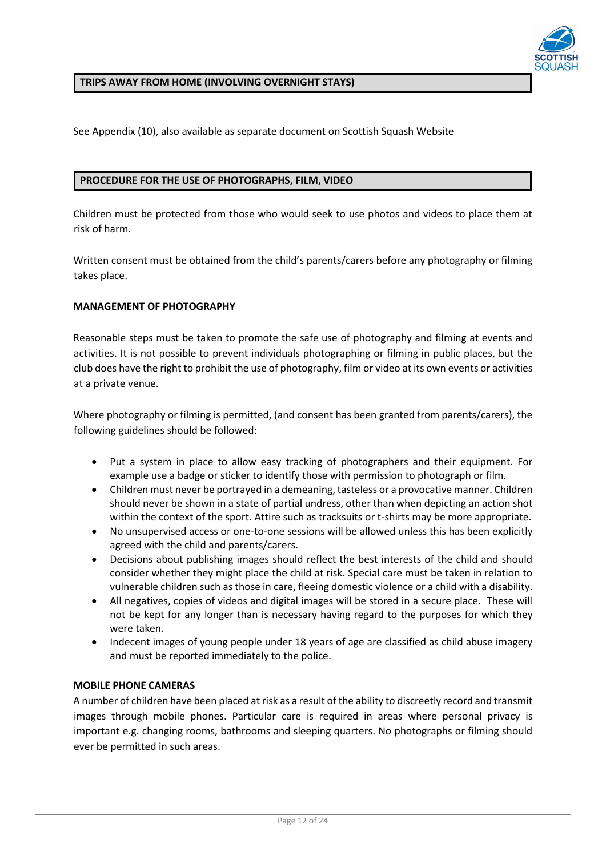

### **TRIPS AWAY FROM HOME (INVOLVING OVERNIGHT STAYS)**

See Appendix (10), also available as separate document on Scottish Squash Website

### **PROCEDURE FOR THE USE OF PHOTOGRAPHS, FILM, VIDEO**

Children must be protected from those who would seek to use photos and videos to place them at risk of harm.

Written consent must be obtained from the child's parents/carers before any photography or filming takes place.

# **MANAGEMENT OF PHOTOGRAPHY**

Reasonable steps must be taken to promote the safe use of photography and filming at events and activities. It is not possible to prevent individuals photographing or filming in public places, but the club does have the right to prohibit the use of photography, film or video at its own events or activities at a private venue.

Where photography or filming is permitted, (and consent has been granted from parents/carers), the following guidelines should be followed:

- Put a system in place to allow easy tracking of photographers and their equipment. For example use a badge or sticker to identify those with permission to photograph or film.
- Children must never be portrayed in a demeaning, tasteless or a provocative manner. Children should never be shown in a state of partial undress, other than when depicting an action shot within the context of the sport. Attire such as tracksuits or t-shirts may be more appropriate.
- No unsupervised access or one-to-one sessions will be allowed unless this has been explicitly agreed with the child and parents/carers.
- Decisions about publishing images should reflect the best interests of the child and should consider whether they might place the child at risk. Special care must be taken in relation to vulnerable children such as those in care, fleeing domestic violence or a child with a disability.
- All negatives, copies of videos and digital images will be stored in a secure place. These will not be kept for any longer than is necessary having regard to the purposes for which they were taken.
- Indecent images of young people under 18 years of age are classified as child abuse imagery and must be reported immediately to the police.

#### **MOBILE PHONE CAMERAS**

A number of children have been placed at risk as a result of the ability to discreetly record and transmit images through mobile phones. Particular care is required in areas where personal privacy is important e.g. changing rooms, bathrooms and sleeping quarters. No photographs or filming should ever be permitted in such areas.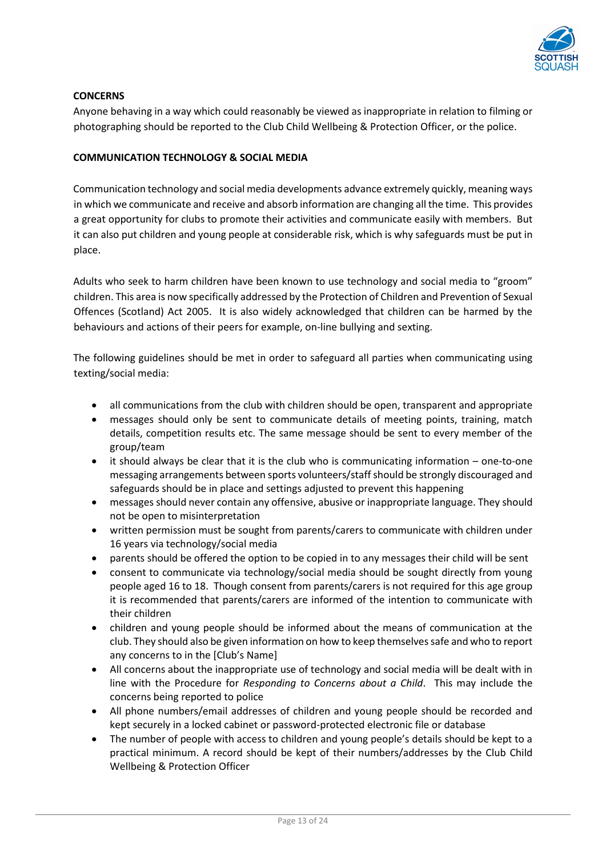

# **CONCERNS**

Anyone behaving in a way which could reasonably be viewed as inappropriate in relation to filming or photographing should be reported to the Club Child Wellbeing & Protection Officer, or the police.

# **COMMUNICATION TECHNOLOGY & SOCIAL MEDIA**

Communication technology and social media developments advance extremely quickly, meaning ways in which we communicate and receive and absorb information are changing all the time. This provides a great opportunity for clubs to promote their activities and communicate easily with members. But it can also put children and young people at considerable risk, which is why safeguards must be put in place.

Adults who seek to harm children have been known to use technology and social media to "groom" children. This area is now specifically addressed by the Protection of Children and Prevention of Sexual Offences (Scotland) Act 2005. It is also widely acknowledged that children can be harmed by the behaviours and actions of their peers for example, on-line bullying and sexting.

The following guidelines should be met in order to safeguard all parties when communicating using texting/social media:

- all communications from the club with children should be open, transparent and appropriate
- messages should only be sent to communicate details of meeting points, training, match details, competition results etc. The same message should be sent to every member of the group/team
- it should always be clear that it is the club who is communicating information one-to-one messaging arrangements between sports volunteers/staff should be strongly discouraged and safeguards should be in place and settings adjusted to prevent this happening
- messages should never contain any offensive, abusive or inappropriate language. They should not be open to misinterpretation
- written permission must be sought from parents/carers to communicate with children under 16 years via technology/social media
- parents should be offered the option to be copied in to any messages their child will be sent
- consent to communicate via technology/social media should be sought directly from young people aged 16 to 18. Though consent from parents/carers is not required for this age group it is recommended that parents/carers are informed of the intention to communicate with their children
- children and young people should be informed about the means of communication at the club. They should also be given information on how to keep themselves safe and who to report any concerns to in the [Club's Name]
- All concerns about the inappropriate use of technology and social media will be dealt with in line with the Procedure for *Responding to Concerns about a Child*. This may include the concerns being reported to police
- All phone numbers/email addresses of children and young people should be recorded and kept securely in a locked cabinet or password-protected electronic file or database
- The number of people with access to children and young people's details should be kept to a practical minimum. A record should be kept of their numbers/addresses by the Club Child Wellbeing & Protection Officer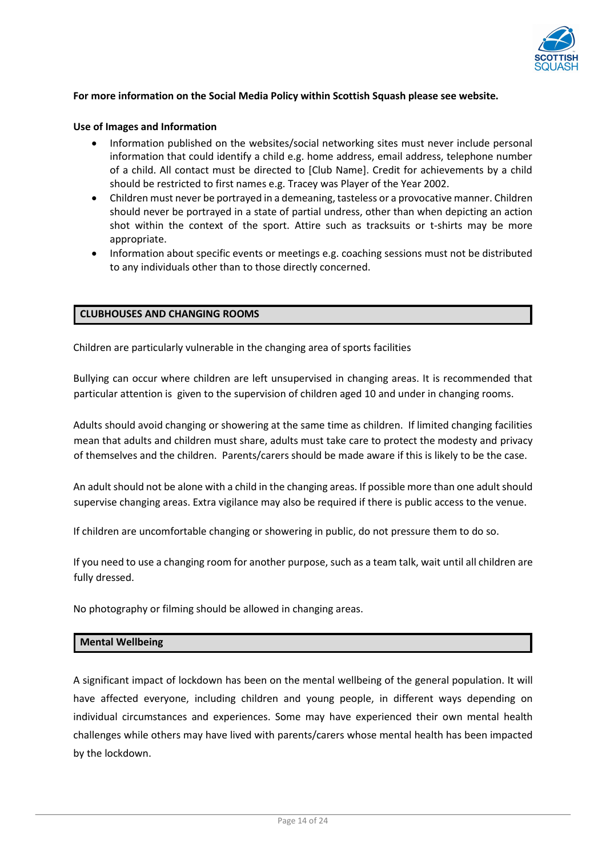

### **For more information on the Social Media Policy within Scottish Squash please see website.**

#### **Use of Images and Information**

- Information published on the websites/social networking sites must never include personal information that could identify a child e.g. home address, email address, telephone number of a child. All contact must be directed to [Club Name]. Credit for achievements by a child should be restricted to first names e.g. Tracey was Player of the Year 2002.
- Children must never be portrayed in a demeaning, tasteless or a provocative manner. Children should never be portrayed in a state of partial undress, other than when depicting an action shot within the context of the sport. Attire such as tracksuits or t-shirts may be more appropriate.
- Information about specific events or meetings e.g. coaching sessions must not be distributed to any individuals other than to those directly concerned.

#### **CLUBHOUSES AND CHANGING ROOMS**

Children are particularly vulnerable in the changing area of sports facilities

Bullying can occur where children are left unsupervised in changing areas. It is recommended that particular attention is given to the supervision of children aged 10 and under in changing rooms.

Adults should avoid changing or showering at the same time as children. If limited changing facilities mean that adults and children must share, adults must take care to protect the modesty and privacy of themselves and the children. Parents/carers should be made aware if this is likely to be the case.

An adult should not be alone with a child in the changing areas. If possible more than one adult should supervise changing areas. Extra vigilance may also be required if there is public access to the venue.

If children are uncomfortable changing or showering in public, do not pressure them to do so.

If you need to use a changing room for another purpose, such as a team talk, wait until all children are fully dressed.

No photography or filming should be allowed in changing areas.

#### **Mental Wellbeing**

A significant impact of lockdown has been on the mental wellbeing of the general population. It will have affected everyone, including children and young people, in different ways depending on individual circumstances and experiences. Some may have experienced their own mental health challenges while others may have lived with parents/carers whose mental health has been impacted by the lockdown.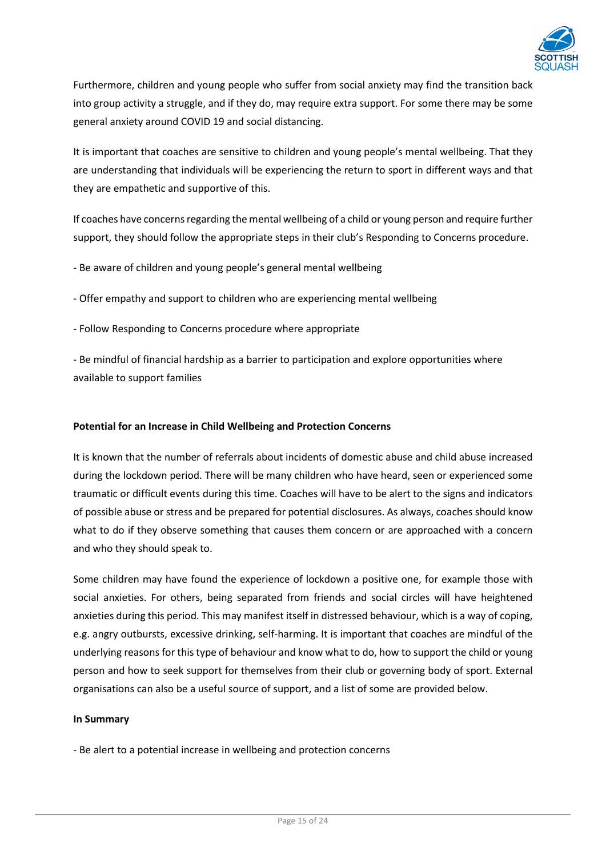

Furthermore, children and young people who suffer from social anxiety may find the transition back into group activity a struggle, and if they do, may require extra support. For some there may be some general anxiety around COVID 19 and social distancing.

It is important that coaches are sensitive to children and young people's mental wellbeing. That they are understanding that individuals will be experiencing the return to sport in different ways and that they are empathetic and supportive of this.

If coaches have concerns regarding the mental wellbeing of a child or young person and require further support, they should follow the appropriate steps in their club's Responding to Concerns procedure.

- Be aware of children and young people's general mental wellbeing
- Offer empathy and support to children who are experiencing mental wellbeing
- Follow Responding to Concerns procedure where appropriate

- Be mindful of financial hardship as a barrier to participation and explore opportunities where available to support families

# **Potential for an Increase in Child Wellbeing and Protection Concerns**

It is known that the number of referrals about incidents of domestic abuse and child abuse increased during the lockdown period. There will be many children who have heard, seen or experienced some traumatic or difficult events during this time. Coaches will have to be alert to the signs and indicators of possible abuse or stress and be prepared for potential disclosures. As always, coaches should know what to do if they observe something that causes them concern or are approached with a concern and who they should speak to.

Some children may have found the experience of lockdown a positive one, for example those with social anxieties. For others, being separated from friends and social circles will have heightened anxieties during this period. This may manifest itself in distressed behaviour, which is a way of coping, e.g. angry outbursts, excessive drinking, self-harming. It is important that coaches are mindful of the underlying reasons for this type of behaviour and know what to do, how to support the child or young person and how to seek support for themselves from their club or governing body of sport. External organisations can also be a useful source of support, and a list of some are provided below.

#### **In Summary**

- Be alert to a potential increase in wellbeing and protection concerns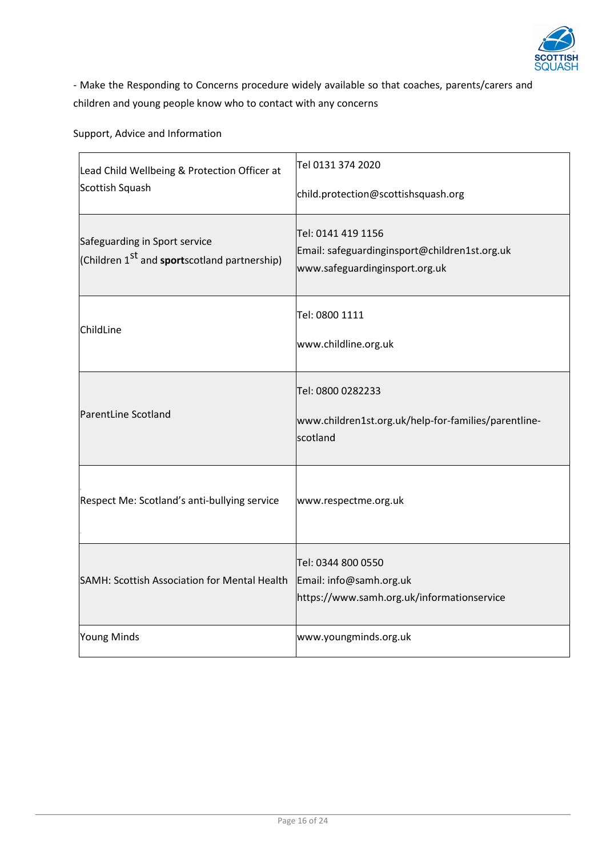

- Make the Responding to Concerns procedure widely available so that coaches, parents/carers and children and young people know who to contact with any concerns

Support, Advice and Information

| Lead Child Wellbeing & Protection Officer at<br>Scottish Squash                                   | Tel 0131 374 2020<br>child.protection@scottishsquash.org                                              |  |
|---------------------------------------------------------------------------------------------------|-------------------------------------------------------------------------------------------------------|--|
| Safeguarding in Sport service<br>(Children 1 <sup>st</sup> and <b>sport</b> scotland partnership) | Tel: 0141 419 1156<br>Email: safeguardinginsport@children1st.org.uk<br>www.safeguardinginsport.org.uk |  |
| ChildLine                                                                                         | Tel: 0800 1111<br>www.childline.org.uk                                                                |  |
| ParentLine Scotland                                                                               | Tel: 0800 0282233<br>www.children1st.org.uk/help-for-families/parentline-<br>scotland                 |  |
| Respect Me: Scotland's anti-bullying service                                                      | www.respectme.org.uk                                                                                  |  |
| SAMH: Scottish Association for Mental Health                                                      | Tel: 0344 800 0550<br>Email: info@samh.org.uk<br>https://www.samh.org.uk/informationservice           |  |
| Young Minds                                                                                       | www.youngminds.org.uk                                                                                 |  |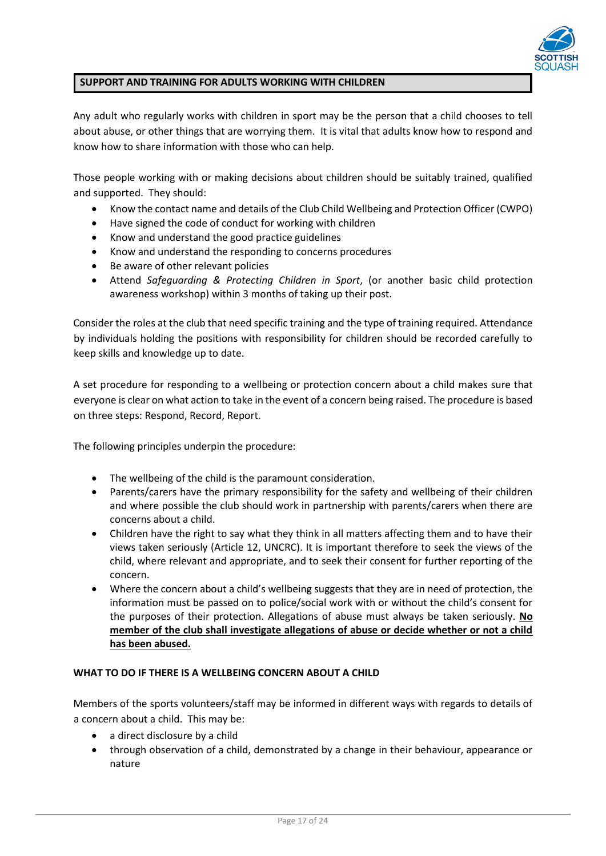

# **SUPPORT AND TRAINING FOR ADULTS WORKING WITH CHILDREN**

Any adult who regularly works with children in sport may be the person that a child chooses to tell about abuse, or other things that are worrying them. It is vital that adults know how to respond and know how to share information with those who can help.

Those people working with or making decisions about children should be suitably trained, qualified and supported. They should:

- Know the contact name and details of the Club Child Wellbeing and Protection Officer (CWPO)
- Have signed the code of conduct for working with children
- Know and understand the good practice guidelines
- Know and understand the responding to concerns procedures
- Be aware of other relevant policies
- Attend *Safeguarding & Protecting Children in Sport*, (or another basic child protection awareness workshop) within 3 months of taking up their post.

Consider the roles at the club that need specific training and the type of training required. Attendance by individuals holding the positions with responsibility for children should be recorded carefully to keep skills and knowledge up to date.

A set procedure for responding to a wellbeing or protection concern about a child makes sure that everyone is clear on what action to take in the event of a concern being raised. The procedure is based on three steps: Respond, Record, Report.

The following principles underpin the procedure:

- The wellbeing of the child is the paramount consideration.
- Parents/carers have the primary responsibility for the safety and wellbeing of their children and where possible the club should work in partnership with parents/carers when there are concerns about a child.
- Children have the right to say what they think in all matters affecting them and to have their views taken seriously (Article 12, UNCRC). It is important therefore to seek the views of the child, where relevant and appropriate, and to seek their consent for further reporting of the concern.
- Where the concern about a child's wellbeing suggests that they are in need of protection, the information must be passed on to police/social work with or without the child's consent for the purposes of their protection. Allegations of abuse must always be taken seriously. **No member of the club shall investigate allegations of abuse or decide whether or not a child has been abused.**

#### **WHAT TO DO IF THERE IS A WELLBEING CONCERN ABOUT A CHILD**

Members of the sports volunteers/staff may be informed in different ways with regards to details of a concern about a child. This may be:

- a direct disclosure by a child
- through observation of a child, demonstrated by a change in their behaviour, appearance or nature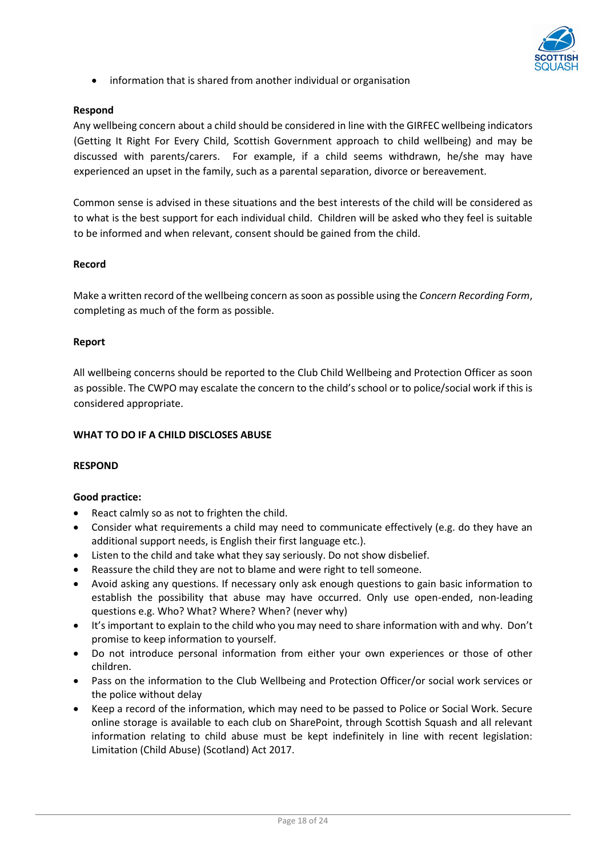

• information that is shared from another individual or organisation

### **Respond**

Any wellbeing concern about a child should be considered in line with the GIRFEC wellbeing indicators (Getting It Right For Every Child, Scottish Government approach to child wellbeing) and may be discussed with parents/carers. For example, if a child seems withdrawn, he/she may have experienced an upset in the family, such as a parental separation, divorce or bereavement.

Common sense is advised in these situations and the best interests of the child will be considered as to what is the best support for each individual child. Children will be asked who they feel is suitable to be informed and when relevant, consent should be gained from the child.

#### **Record**

Make a written record of the wellbeing concern as soon as possible using the *Concern Recording Form*, completing as much of the form as possible.

#### **Report**

All wellbeing concerns should be reported to the Club Child Wellbeing and Protection Officer as soon as possible. The CWPO may escalate the concern to the child's school or to police/social work if this is considered appropriate.

#### **WHAT TO DO IF A CHILD DISCLOSES ABUSE**

#### **RESPOND**

#### **Good practice:**

- React calmly so as not to frighten the child.
- Consider what requirements a child may need to communicate effectively (e.g. do they have an additional support needs, is English their first language etc.).
- Listen to the child and take what they say seriously. Do not show disbelief.
- Reassure the child they are not to blame and were right to tell someone.
- Avoid asking any questions. If necessary only ask enough questions to gain basic information to establish the possibility that abuse may have occurred. Only use open-ended, non-leading questions e.g. Who? What? Where? When? (never why)
- It's important to explain to the child who you may need to share information with and why. Don't promise to keep information to yourself.
- Do not introduce personal information from either your own experiences or those of other children.
- Pass on the information to the Club Wellbeing and Protection Officer/or social work services or the police without delay
- Keep a record of the information, which may need to be passed to Police or Social Work. Secure online storage is available to each club on SharePoint, through Scottish Squash and all relevant information relating to child abuse must be kept indefinitely in line with recent legislation: Limitation (Child Abuse) (Scotland) Act 2017.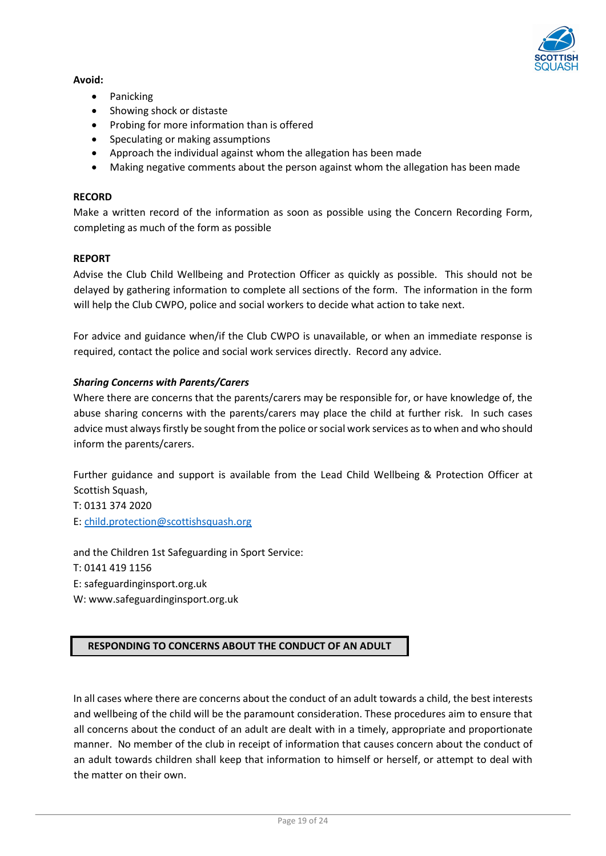

# **Avoid:**

- Panicking
- Showing shock or distaste
- Probing for more information than is offered
- Speculating or making assumptions
- Approach the individual against whom the allegation has been made
- Making negative comments about the person against whom the allegation has been made

# **RECORD**

Make a written record of the information as soon as possible using the Concern Recording Form, completing as much of the form as possible

# **REPORT**

Advise the Club Child Wellbeing and Protection Officer as quickly as possible. This should not be delayed by gathering information to complete all sections of the form. The information in the form will help the Club CWPO, police and social workers to decide what action to take next.

For advice and guidance when/if the Club CWPO is unavailable, or when an immediate response is required, contact the police and social work services directly. Record any advice.

# *Sharing Concerns with Parents/Carers*

Where there are concerns that the parents/carers may be responsible for, or have knowledge of, the abuse sharing concerns with the parents/carers may place the child at further risk. In such cases advice must always firstly be sought from the police or social work services as to when and who should inform the parents/carers.

Further guidance and support is available from the Lead Child Wellbeing & Protection Officer at Scottish Squash,

T: 0131 374 2020 E: [child.protection@scottishsquash.org](mailto:child.protection@scottishsquash.org)

and the Children 1st Safeguarding in Sport Service: T: 0141 419 1156 E: safeguardinginsport.org.uk W: www.safeguardinginsport.org.uk

# **RESPONDING TO CONCERNS ABOUT THE CONDUCT OF AN ADULT**

In all cases where there are concerns about the conduct of an adult towards a child, the best interests and wellbeing of the child will be the paramount consideration. These procedures aim to ensure that all concerns about the conduct of an adult are dealt with in a timely, appropriate and proportionate manner. No member of the club in receipt of information that causes concern about the conduct of an adult towards children shall keep that information to himself or herself, or attempt to deal with the matter on their own.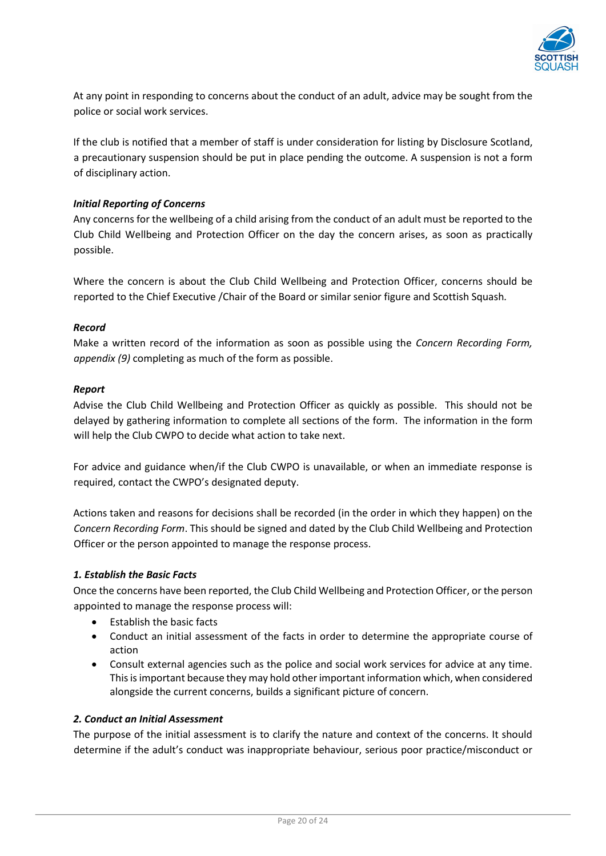

At any point in responding to concerns about the conduct of an adult, advice may be sought from the police or social work services.

If the club is notified that a member of staff is under consideration for listing by Disclosure Scotland, a precautionary suspension should be put in place pending the outcome. A suspension is not a form of disciplinary action.

# *Initial Reporting of Concerns*

Any concerns for the wellbeing of a child arising from the conduct of an adult must be reported to the Club Child Wellbeing and Protection Officer on the day the concern arises, as soon as practically possible.

Where the concern is about the Club Child Wellbeing and Protection Officer, concerns should be reported to the Chief Executive /Chair of the Board or similar senior figure and Scottish Squash*.*

# *Record*

Make a written record of the information as soon as possible using the *Concern Recording Form, appendix (9)* completing as much of the form as possible.

# *Report*

Advise the Club Child Wellbeing and Protection Officer as quickly as possible. This should not be delayed by gathering information to complete all sections of the form. The information in the form will help the Club CWPO to decide what action to take next.

For advice and guidance when/if the Club CWPO is unavailable, or when an immediate response is required, contact the CWPO's designated deputy.

Actions taken and reasons for decisions shall be recorded (in the order in which they happen) on the *Concern Recording Form*. This should be signed and dated by the Club Child Wellbeing and Protection Officer or the person appointed to manage the response process.

# *1. Establish the Basic Facts*

Once the concerns have been reported, the Club Child Wellbeing and Protection Officer, or the person appointed to manage the response process will:

- Establish the basic facts
- Conduct an initial assessment of the facts in order to determine the appropriate course of action
- Consult external agencies such as the police and social work services for advice at any time. This is important because they may hold other important information which, when considered alongside the current concerns, builds a significant picture of concern.

# *2. Conduct an Initial Assessment*

The purpose of the initial assessment is to clarify the nature and context of the concerns. It should determine if the adult's conduct was inappropriate behaviour, serious poor practice/misconduct or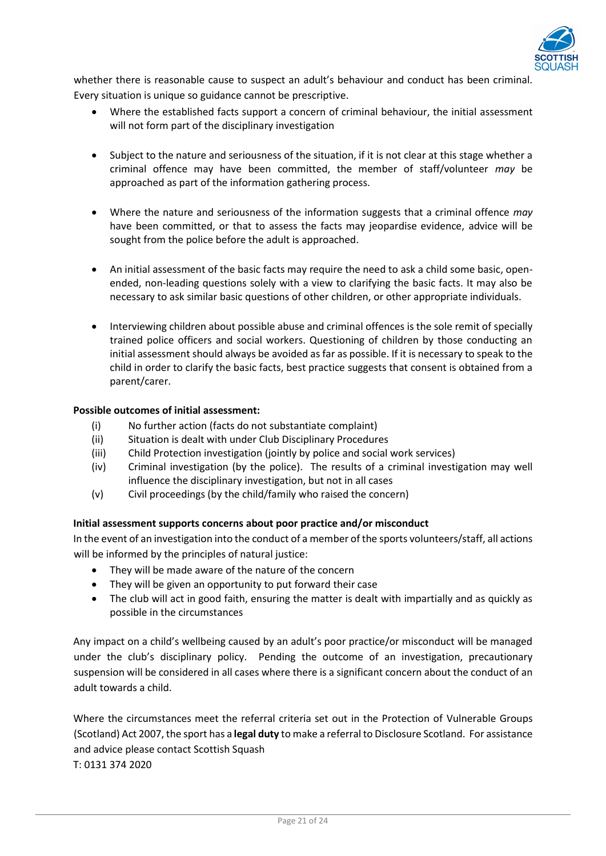

whether there is reasonable cause to suspect an adult's behaviour and conduct has been criminal. Every situation is unique so guidance cannot be prescriptive.

- Where the established facts support a concern of criminal behaviour, the initial assessment will not form part of the disciplinary investigation
- Subject to the nature and seriousness of the situation, if it is not clear at this stage whether a criminal offence may have been committed, the member of staff/volunteer *may* be approached as part of the information gathering process.
- Where the nature and seriousness of the information suggests that a criminal offence *may* have been committed, or that to assess the facts may jeopardise evidence, advice will be sought from the police before the adult is approached.
- An initial assessment of the basic facts may require the need to ask a child some basic, openended, non-leading questions solely with a view to clarifying the basic facts. It may also be necessary to ask similar basic questions of other children, or other appropriate individuals.
- Interviewing children about possible abuse and criminal offences is the sole remit of specially trained police officers and social workers. Questioning of children by those conducting an initial assessment should always be avoided as far as possible. If it is necessary to speak to the child in order to clarify the basic facts, best practice suggests that consent is obtained from a parent/carer.

# **Possible outcomes of initial assessment:**

- (i) No further action (facts do not substantiate complaint)
- (ii) Situation is dealt with under Club Disciplinary Procedures
- (iii) Child Protection investigation (jointly by police and social work services)
- (iv) Criminal investigation (by the police). The results of a criminal investigation may well influence the disciplinary investigation, but not in all cases
- (v) Civil proceedings (by the child/family who raised the concern)

# **Initial assessment supports concerns about poor practice and/or misconduct**

In the event of an investigation into the conduct of a member of the sports volunteers/staff, all actions will be informed by the principles of natural justice:

- They will be made aware of the nature of the concern
- They will be given an opportunity to put forward their case
- The club will act in good faith, ensuring the matter is dealt with impartially and as quickly as possible in the circumstances

Any impact on a child's wellbeing caused by an adult's poor practice/or misconduct will be managed under the club's disciplinary policy. Pending the outcome of an investigation, precautionary suspension will be considered in all cases where there is a significant concern about the conduct of an adult towards a child.

Where the circumstances meet the referral criteria set out in the Protection of Vulnerable Groups (Scotland) Act 2007, the sport has a **legal duty** to make a referral to Disclosure Scotland. For assistance and advice please contact Scottish Squash T: 0131 374 2020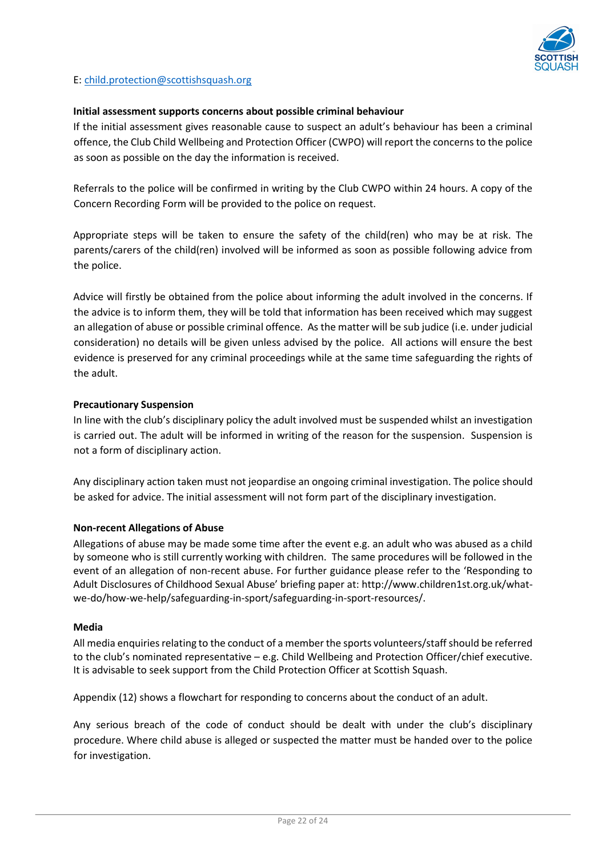

### E: [child.protection@scottishsquash.org](mailto:child.protection@scottishsquash.org)

#### **Initial assessment supports concerns about possible criminal behaviour**

If the initial assessment gives reasonable cause to suspect an adult's behaviour has been a criminal offence, the Club Child Wellbeing and Protection Officer (CWPO) will report the concerns to the police as soon as possible on the day the information is received.

Referrals to the police will be confirmed in writing by the Club CWPO within 24 hours. A copy of the Concern Recording Form will be provided to the police on request.

Appropriate steps will be taken to ensure the safety of the child(ren) who may be at risk. The parents/carers of the child(ren) involved will be informed as soon as possible following advice from the police.

Advice will firstly be obtained from the police about informing the adult involved in the concerns. If the advice is to inform them, they will be told that information has been received which may suggest an allegation of abuse or possible criminal offence. As the matter will be sub judice (i.e. under judicial consideration) no details will be given unless advised by the police. All actions will ensure the best evidence is preserved for any criminal proceedings while at the same time safeguarding the rights of the adult.

# **Precautionary Suspension**

In line with the club's disciplinary policy the adult involved must be suspended whilst an investigation is carried out. The adult will be informed in writing of the reason for the suspension. Suspension is not a form of disciplinary action.

Any disciplinary action taken must not jeopardise an ongoing criminal investigation. The police should be asked for advice. The initial assessment will not form part of the disciplinary investigation.

#### **Non-recent Allegations of Abuse**

Allegations of abuse may be made some time after the event e.g. an adult who was abused as a child by someone who is still currently working with children. The same procedures will be followed in the event of an allegation of non-recent abuse. For further guidance please refer to the 'Responding to Adult Disclosures of Childhood Sexual Abuse' briefing paper at: http://www.children1st.org.uk/whatwe-do/how-we-help/safeguarding-in-sport/safeguarding-in-sport-resources/.

#### **Media**

All media enquiries relating to the conduct of a member the sports volunteers/staff should be referred to the club's nominated representative – e.g. Child Wellbeing and Protection Officer/chief executive. It is advisable to seek support from the Child Protection Officer at Scottish Squash.

Appendix (12) shows a flowchart for responding to concerns about the conduct of an adult.

Any serious breach of the code of conduct should be dealt with under the club's disciplinary procedure. Where child abuse is alleged or suspected the matter must be handed over to the police for investigation.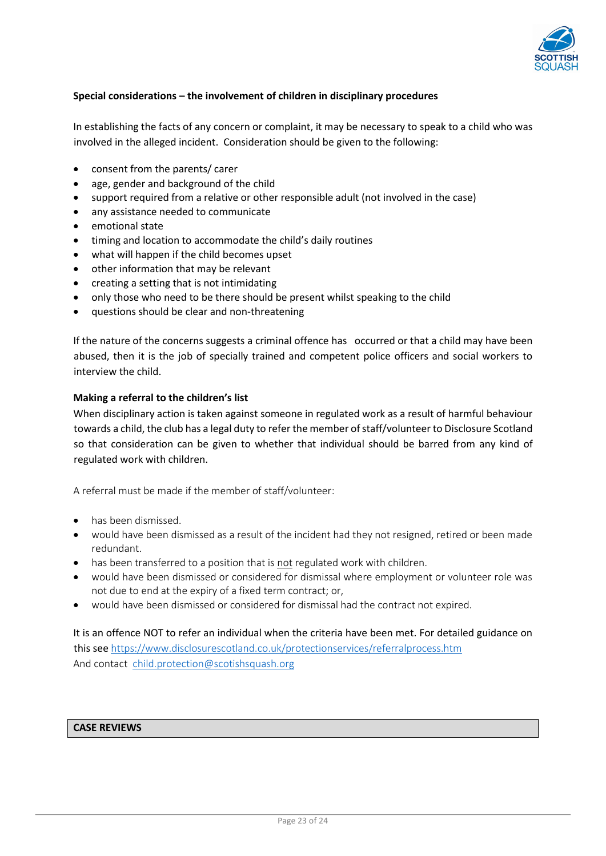

# **Special considerations – the involvement of children in disciplinary procedures**

In establishing the facts of any concern or complaint, it may be necessary to speak to a child who was involved in the alleged incident. Consideration should be given to the following:

- consent from the parents/ carer
- age, gender and background of the child
- support required from a relative or other responsible adult (not involved in the case)
- any assistance needed to communicate
- emotional state
- timing and location to accommodate the child's daily routines
- what will happen if the child becomes upset
- other information that may be relevant
- creating a setting that is not intimidating
- only those who need to be there should be present whilst speaking to the child
- questions should be clear and non-threatening

If the nature of the concerns suggests a criminal offence has occurred or that a child may have been abused, then it is the job of specially trained and competent police officers and social workers to interview the child.

#### **Making a referral to the children's list**

When disciplinary action is taken against someone in regulated work as a result of harmful behaviour towards a child, the club has a legal duty to refer the member of staff/volunteer to Disclosure Scotland so that consideration can be given to whether that individual should be barred from any kind of regulated work with children.

A referral must be made if the member of staff/volunteer:

- has been dismissed.
- would have been dismissed as a result of the incident had they not resigned, retired or been made redundant.
- has been transferred to a position that is not regulated work with children.
- would have been dismissed or considered for dismissal where employment or volunteer role was not due to end at the expiry of a fixed term contract; or,
- would have been dismissed or considered for dismissal had the contract not expired.

It is an offence NOT to refer an individual when the criteria have been met. For detailed guidance on this see <https://www.disclosurescotland.co.uk/protectionservices/referralprocess.htm> And contact [child.protection@scotishsquash.org](mailto:child.protection@scotishsquash.org)

# **CASE REVIEWS**